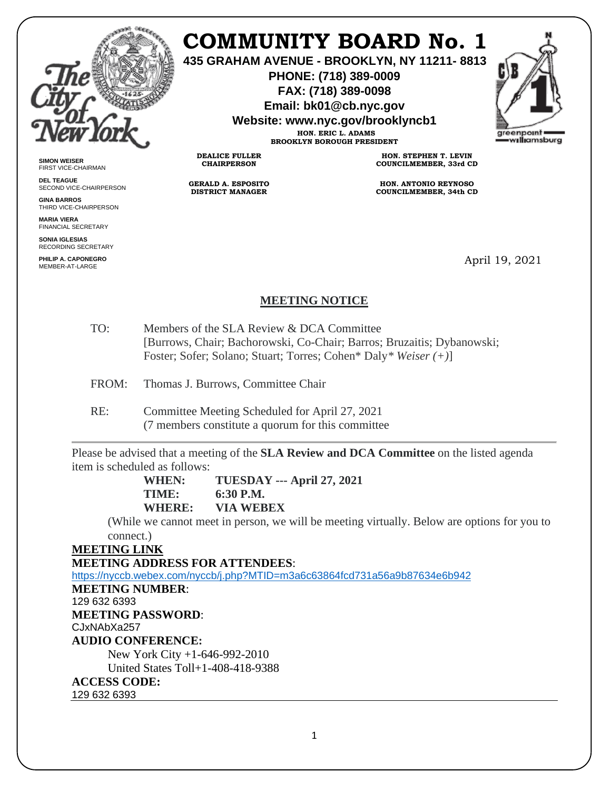

# **COMMUNITY BOARD No. 1**

**435 GRAHAM AVENUE - BROOKLYN, NY 11211- 8813**

**PHONE: (718) 389-0009 FAX: (718) 389-0098**

**Email: bk01@cb.nyc.gov**

**Website: www.nyc.gov/brooklyncb1**

**HON. ERIC L. ADAMS BROOKLYN BOROUGH PRESIDENT**



**SIMON WEISER** FIRST VICE-CHAIRMAN

**DEL TEAGUE** SECOND VICE-CHAIRPERSON

**GINA BARROS** THIRD VICE-CHAIRPERSON

**MARIA VIERA** FINANCIAL SECRETARY

**SONIA IGLESIAS** RECORDING SECRETARY

**PHILIP A. CAPONEGRO** MEMBER-AT-LARGE

**HON. STEPHEN T. LEVIN COUNCILMEMBER, 33rd CD**

**HON. ANTONIO REYNOSO COUNCILMEMBER, 34th CD**

April 19, 2021

## **MEETING NOTICE**

- TO: Members of the SLA Review & DCA Committee [Burrows, Chair; Bachorowski, Co-Chair; Barros; Bruzaitis; Dybanowski; Foster; Sofer; Solano; Stuart; Torres; Cohen\* Daly*\* Weiser (+)*]
- FROM: Thomas J. Burrows, Committee Chair
- RE: Committee Meeting Scheduled for April 27, 2021 (7 members constitute a quorum for this committee

**DEALICE FULLER CHAIRPERSON**

**GERALD A. ESPOSITO DISTRICT MANAGER**

Please be advised that a meeting of the **SLA Review and DCA Committee** on the listed agenda item is scheduled as follows:

> **WHEN: TUESDAY --- April 27, 2021 TIME: 6:30 P.M. WHERE: VIA WEBEX**

(While we cannot meet in person, we will be meeting virtually. Below are options for you to connect.)

**MEETING LINK**

**MEETING ADDRESS FOR ATTENDEES**:

<https://nyccb.webex.com/nyccb/j.php?MTID=m3a6c63864fcd731a56a9b87634e6b942>

**MEETING NUMBER**:

129 632 6393

**MEETING PASSWORD**:

CJxNAbXa257 **AUDIO CONFERENCE:**

New York City +1-646-992-2010 United States Toll+1-408-418-9388 **ACCESS CODE:**

129 632 6393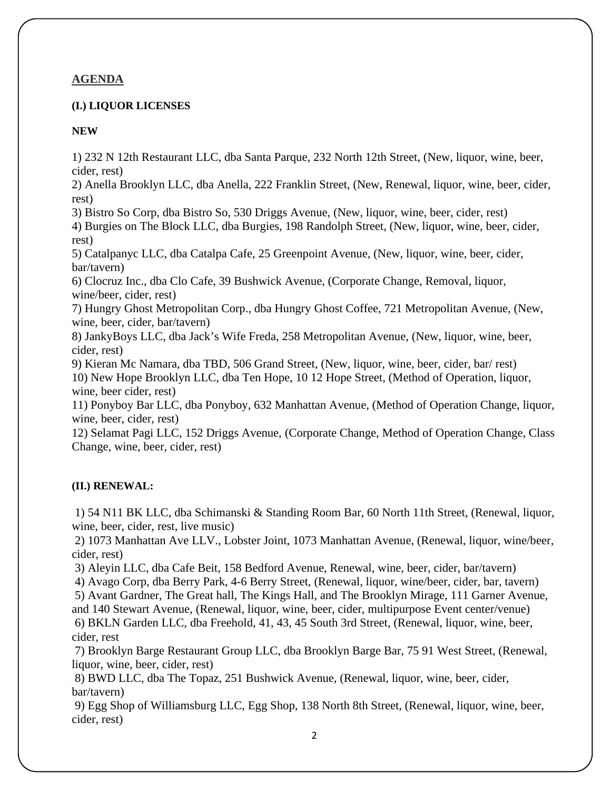### **AGENDA**

#### **(I.) LIQUOR LICENSES**

#### **NEW**

1) 232 N 12th Restaurant LLC, dba Santa Parque, 232 North 12th Street, (New, liquor, wine, beer, cider, rest)

2) Anella Brooklyn LLC, dba Anella, 222 Franklin Street, (New, Renewal, liquor, wine, beer, cider, rest)

3) Bistro So Corp, dba Bistro So, 530 Driggs Avenue, (New, liquor, wine, beer, cider, rest)

4) Burgies on The Block LLC, dba Burgies, 198 Randolph Street, (New, liquor, wine, beer, cider, rest)

5) Catalpanyc LLC, dba Catalpa Cafe, 25 Greenpoint Avenue, (New, liquor, wine, beer, cider, bar/tavern)

6) Clocruz Inc., dba Clo Cafe, 39 Bushwick Avenue, (Corporate Change, Removal, liquor, wine/beer, cider, rest)

7) Hungry Ghost Metropolitan Corp., dba Hungry Ghost Coffee, 721 Metropolitan Avenue, (New, wine, beer, cider, bar/tavern)

8) JankyBoys LLC, dba Jack's Wife Freda, 258 Metropolitan Avenue, (New, liquor, wine, beer, cider, rest)

9) Kieran Mc Namara, dba TBD, 506 Grand Street, (New, liquor, wine, beer, cider, bar/ rest) 10) New Hope Brooklyn LLC, dba Ten Hope, 10 12 Hope Street, (Method of Operation, liquor, wine, beer cider, rest)

11) Ponyboy Bar LLC, dba Ponyboy, 632 Manhattan Avenue, (Method of Operation Change, liquor, wine, beer, cider, rest)

12) Selamat Pagi LLC, 152 Driggs Avenue, (Corporate Change, Method of Operation Change, Class Change, wine, beer, cider, rest)

#### **(II.) RENEWAL:**

1) 54 N11 BK LLC, dba Schimanski & Standing Room Bar, 60 North 11th Street, (Renewal, liquor, wine, beer, cider, rest, live music)

2) 1073 Manhattan Ave LLV., Lobster Joint, 1073 Manhattan Avenue, (Renewal, liquor, wine/beer, cider, rest)

3) Aleyin LLC, dba Cafe Beit, 158 Bedford Avenue, Renewal, wine, beer, cider, bar/tavern)

4) Avago Corp, dba Berry Park, 4-6 Berry Street, (Renewal, liquor, wine/beer, cider, bar, tavern)

5) Avant Gardner, The Great hall, The Kings Hall, and The Brooklyn Mirage, 111 Garner Avenue,

and 140 Stewart Avenue, (Renewal, liquor, wine, beer, cider, multipurpose Event center/venue) 6) BKLN Garden LLC, dba Freehold, 41, 43, 45 South 3rd Street, (Renewal, liquor, wine, beer, cider, rest

7) Brooklyn Barge Restaurant Group LLC, dba Brooklyn Barge Bar, 75 91 West Street, (Renewal, liquor, wine, beer, cider, rest)

8) BWD LLC, dba The Topaz, 251 Bushwick Avenue, (Renewal, liquor, wine, beer, cider, bar/tavern)

9) Egg Shop of Williamsburg LLC, Egg Shop, 138 North 8th Street, (Renewal, liquor, wine, beer, cider, rest)